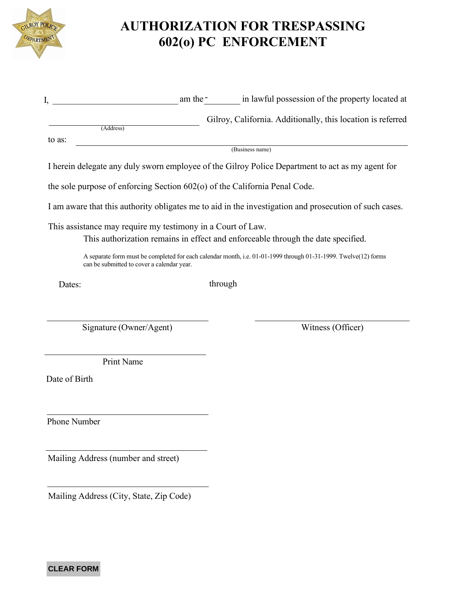

## **AUTHORIZATION FOR TRESPASSING 602(o) PC ENFORCEMENT**

|        |                 | am the -                                                    | in lawful possession of the property located at |
|--------|-----------------|-------------------------------------------------------------|-------------------------------------------------|
|        | (Address)       | Gilroy, California. Additionally, this location is referred |                                                 |
| to as: |                 |                                                             |                                                 |
|        | (Business name) |                                                             |                                                 |

I herein delegate any duly sworn employee of the Gilroy Police Department to act as my agent for

the sole purpose of enforcing Section 602(o) of the California Penal Code.

I am aware that this authority obligates me to aid in the investigation and prosecution of such cases.

This assistance may require my testimony in a Court of Law.

This authorization remains in effect and enforceable through the date specified.

A separate form must be completed for each calendar month, i.e. 01-01-1999 through 01-31-1999. Twelve(12) forms can be submitted to cover a calendar year.

Dates:

through

Signature (Owner/Agent) Witness (Officer)

Print Name

Date of Birth

Phone Number

Mailing Address (number and street)

Mailing Address (City, State, Zip Code)